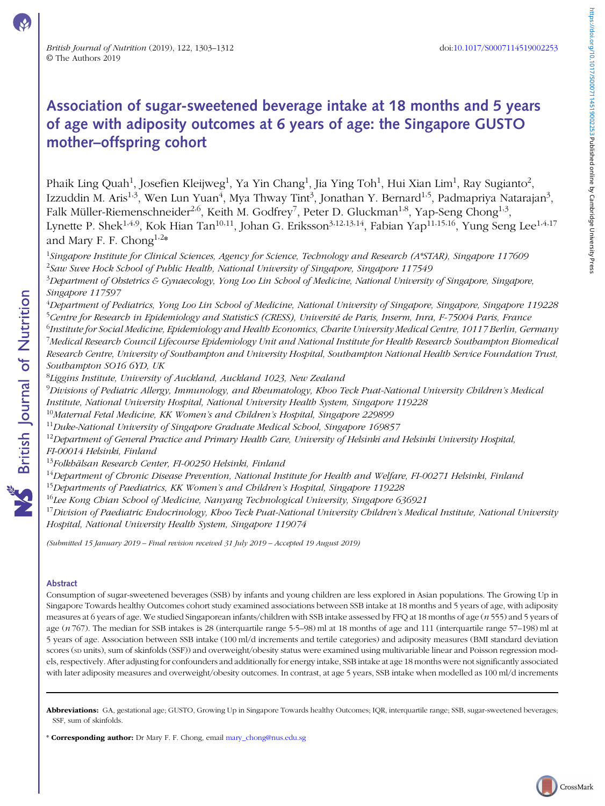CrossMark

# Association of sugar-sweetened beverage intake at 18 months and 5 years of age with adiposity outcomes at 6 years of age: the Singapore GUSTO mother–offspring cohort

Phaik Ling Quah<sup>1</sup>, Josefien Kleijweg<sup>1</sup>, Ya Yin Chang<sup>1</sup>, Jia Ying Toh<sup>1</sup>, Hui Xian Lim<sup>1</sup>, Ray Sugianto<sup>2</sup>, Izzuddin M. Aris<sup>1,3</sup>, Wen Lun Yuan<sup>4</sup>, Mya Thway Tint<sup>3</sup>, Jonathan Y. Bernard<sup>1,5</sup>, Padmapriya Natarajan<sup>3</sup>, Falk Müller-Riemenschneider<sup>2,6</sup>, Keith M. Godfrey<sup>7</sup>, Peter D. Gluckman<sup>1,8</sup>, Yap-Seng Chong<sup>1,3</sup>, Lynette P. Shek<sup>1,4,9</sup>, Kok Hian Tan<sup>10,11</sup>, Johan G. Eriksson<sup>3,12,13,14</sup>, Fabian Yap<sup>11,15,16</sup>, Yung Seng Lee<sup>1,4,17</sup> and Mary F. F. Chong<sup>1,2\*</sup>

<sup>1</sup>Singapore Institute for Clinical Sciences, Agency for Science, Technology and Research (A\*STAR), Singapore 117609 <sup>2</sup>Saw Swee Hock School of Public Health, National University of Singapore, Singapore 117549  $^3$ Department of Obstetrics & Gynaecology, Yong Loo Lin School of Medicine, National University of Singapore, Singapore, Singapore 117597

<sup>4</sup>Department of Pediatrics, Yong Loo Lin School of Medicine, National University of Singapore, Singapore, Singapore 119228 <sup>5</sup>Centre for Research in Epidemiology and StatisticS (CRESS), Université de Paris, Inserm, Inra, F-75004 Paris, France  $^6$ Institute for Social Medicine, Epidemiology and Health Economics, Charite University Medical Centre, 10117 Berlin, Germany  $^7$ Medical Research Council Lifecourse Epidemiology Unit and National Institute for Health Research Southampton Biomedical Research Centre, University of Southampton and University Hospital, Southampton National Health Service Foundation Trust,

Southampton SO16 6YD, UK

 $^8$ Liggins Institute, University of Auckland, Auckland 1023, New Zealand

 $^9$ Divisions of Pediatric Allergy, Immunology, and Rheumatology, Khoo Teck Puat-National University Children's Medical Institute, National University Hospital, National University Health System, Singapore 119228

 $10$ Maternal Fetal Medicine, KK Women's and Children's Hospital, Singapore 229899

 $11$ Duke-National University of Singapore Graduate Medical School, Singapore 169857

 $12$ Department of General Practice and Primary Health Care, University of Helsinki and Helsinki University Hospital, FI-00014 Helsinki, Finland

<sup>13</sup>Folkhälsan Research Center, FI-00250 Helsinki, Finland

<sup>14</sup>Department of Chronic Disease Prevention, National Institute for Health and Welfare, FI-00271 Helsinki, Finland

- <sup>15</sup>Departments of Paediatrics, KK Women's and Children's Hospital, Singapore 119228
- $16$ Lee Kong Chian School of Medicine, Nanyang Technological University, Singapore 636921

 $^{17}$ Division of Paediatric Endocrinology, Khoo Teck Puat-National University Children's Medical Institute, National University Hospital, National University Health System, Singapore 119074

(Submitted 15 January 2019 – Final revision received 31 July 2019 – Accepted 19 August 2019)

# Abstract

Consumption of sugar-sweetened beverages (SSB) by infants and young children are less explored in Asian populations. The Growing Up in Singapore Towards healthy Outcomes cohort study examined associations between SSB intake at 18 months and 5 years of age, with adiposity measures at 6 years of age. We studied Singaporean infants/children with SSB intake assessed by FFQ at 18 months of age (n 555) and 5 years of age (n 767). The median for SSB intakes is 28 (interquartile range 5·5–98) ml at 18 months of age and 111 (interquartile range 57–198) ml at 5 years of age. Association between SSB intake (100 ml/d increments and tertile categories) and adiposity measures (BMI standard deviation scores (sp units), sum of skinfolds (SSF)) and overweight/obesity status were examined using multivariable linear and Poisson regression models, respectively. After adjusting for confounders and additionally for energy intake, SSB intake at age 18 months were not significantly associated with later adiposity measures and overweight/obesity outcomes. In contrast, at age 5 years, SSB intake when modelled as 100 ml/d increments

Abbreviations: GA, gestational age; GUSTO, Growing Up in Singapore Towards healthy Outcomes; IQR, interquartile range; SSB, sugar-sweetened beverages; SSF, sum of skinfolds.

\* Corresponding author: Dr Mary F. F. Chong, email [mary\\_chong@nus.edu.sg](mailto:mary_chong@nus.edu.sg)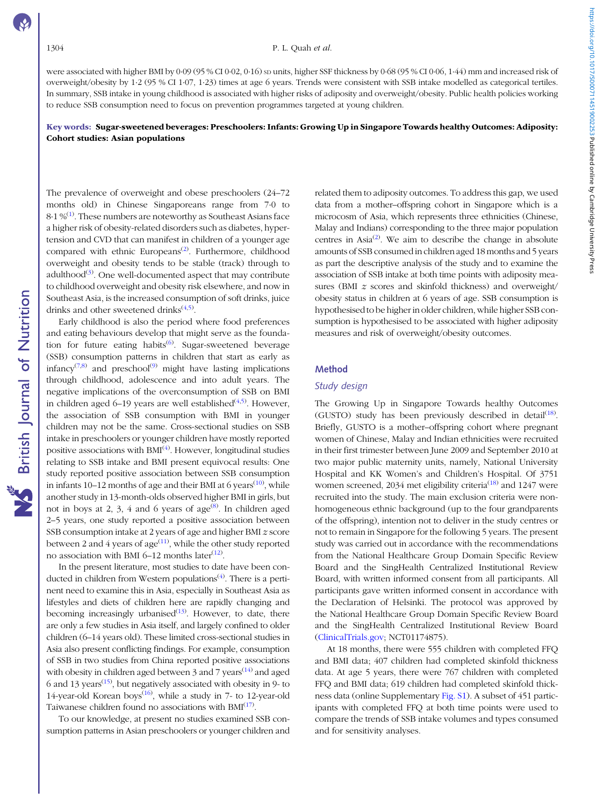were associated with higher BMI by 0·09 (95 % CI 0·02, 0·16) sp units, higher SSF thickness by 0·68 (95 % CI 0·06, 1·44) mm and increased risk of overweight/obesity by 1·2 (95 % CI 1·07, 1·23) times at age 6 years. Trends were consistent with SSB intake modelled as categorical tertiles. In summary, SSB intake in young childhood is associated with higher risks of adiposity and overweight/obesity. Public health policies working to reduce SSB consumption need to focus on prevention programmes targeted at young children.

# Key words: Sugar-sweetened beverages: Preschoolers: Infants: Growing Up in Singapore Towards healthy Outcomes: Adiposity: Cohort studies: Asian populations

The prevalence of overweight and obese preschoolers (24–72 months old) in Chinese Singaporeans range from 7·0 to  $8·1%$ <sup>([1\)](#page-8-0)</sup>. These numbers are noteworthy as Southeast Asians face a higher risk of obesity-related disorders such as diabetes, hypertension and CVD that can manifest in children of a younger age compared with ethnic Europeans<sup>[\(2\)](#page-8-0)</sup>. Furthermore, childhood overweight and obesity tends to be stable (track) through to adulthood<sup>([3\)](#page-8-0)</sup>. One well-documented aspect that may contribute to childhood overweight and obesity risk elsewhere, and now in Southeast Asia, is the increased consumption of soft drinks, juice drinks and other sweetened drinks $(4,5)$  $(4,5)$ .

Early childhood is also the period where food preferences and eating behaviours develop that might serve as the founda-tion for future eating habits<sup>([6\)](#page-8-0)</sup>. Sugar-sweetened beverage (SSB) consumption patterns in children that start as early as infancy<sup> $(7,8)$  $(7,8)$ </sup> and preschool<sup>([9\)](#page-8-0)</sup> might have lasting implications through childhood, adolescence and into adult years. The negative implications of the overconsumption of SSB on BMI in children aged 6–19 years are well established $(4,5)$  $(4,5)$ . However, the association of SSB consumption with BMI in younger children may not be the same. Cross-sectional studies on SSB intake in preschoolers or younger children have mostly reported positive associations with BMI<sup>[\(4](#page-8-0))</sup>. However, longitudinal studies relating to SSB intake and BMI present equivocal results: One study reported positive association between SSB consumption in infants  $10-12$  months of age and their BMI at 6 years<sup> $(10)$  $(10)$ </sup>, while another study in 13-month-olds observed higher BMI in girls, but not in boys at 2, 3, 4 and 6 years of age $^{(8)}$  $^{(8)}$  $^{(8)}$ . In children aged 2–5 years, one study reported a positive association between SSB consumption intake at 2 years of age and higher BMI z score between 2 and 4 years of age $^{(11)}$  $^{(11)}$  $^{(11)}$ , while the other study reported no association with BMI 6–12 months later $(12)$  $(12)$ .

In the present literature, most studies to date have been con-ducted in children from Western populations<sup>[\(4](#page-8-0))</sup>. There is a pertinent need to examine this in Asia, especially in Southeast Asia as lifestyles and diets of children here are rapidly changing and becoming increasingly urbanised<sup>[\(13](#page-8-0))</sup>. However, to date, there are only a few studies in Asia itself, and largely confined to older children (6–14 years old). These limited cross-sectional studies in Asia also present conflicting findings. For example, consumption of SSB in two studies from China reported positive associations with obesity in children aged between 3 and 7 years<sup> $(14)$ </sup> and aged 6 and 13 years<sup> $(15)$  $(15)$ </sup>, but negatively associated with obesity in 9- to 14-year-old Korean boys<sup>([16](#page-8-0))</sup>, while a study in  $7-$  to 12-year-old Taiwanese children found no associations with BMI<sup>[\(17](#page-8-0))</sup>.

To our knowledge, at present no studies examined SSB consumption patterns in Asian preschoolers or younger children and related them to adiposity outcomes. To address this gap, we used data from a mother–offspring cohort in Singapore which is a microcosm of Asia, which represents three ethnicities (Chinese, Malay and Indians) corresponding to the three major population centres in Asia<sup>[\(2](#page-8-0))</sup>. We aim to describe the change in absolute amounts of SSB consumed in children aged 18 months and 5 years as part the descriptive analysis of the study and to examine the association of SSB intake at both time points with adiposity measures (BMI  $z$  scores and skinfold thickness) and overweight/ obesity status in children at 6 years of age. SSB consumption is hypothesised to be higher in older children, while higher SSB consumption is hypothesised to be associated with higher adiposity measures and risk of overweight/obesity outcomes.

#### Method

#### Study design

The Growing Up in Singapore Towards healthy Outcomes (GUSTO) study has been previously described in detail<sup>([18](#page-8-0))</sup>. Briefly, GUSTO is a mother–offspring cohort where pregnant women of Chinese, Malay and Indian ethnicities were recruited in their first trimester between June 2009 and September 2010 at two major public maternity units, namely, National University Hospital and KK Women's and Children's Hospital. Of 3751 women screened, 2034 met eligibility criteria<sup>[\(18\)](#page-8-0)</sup> and 1247 were recruited into the study. The main exclusion criteria were nonhomogeneous ethnic background (up to the four grandparents of the offspring), intention not to deliver in the study centres or not to remain in Singapore for the following 5 years. The present study was carried out in accordance with the recommendations from the National Healthcare Group Domain Specific Review Board and the SingHealth Centralized Institutional Review Board, with written informed consent from all participants. All participants gave written informed consent in accordance with the Declaration of Helsinki. The protocol was approved by the National Healthcare Group Domain Specific Review Board and the SingHealth Centralized Institutional Review Board [\(ClinicalTrials.gov;](http://ClinicalTrials.gov) NCT01174875).

At 18 months, there were 555 children with completed FFQ and BMI data; 407 children had completed skinfold thickness data. At age 5 years, there were 767 children with completed FFQ and BMI data; 619 children had completed skinfold thickness data (online Supplementary [Fig. S1](https://doi.org/10.1017/S0007114519002253)). A subset of 451 participants with completed FFQ at both time points were used to compare the trends of SSB intake volumes and types consumed and for sensitivity analyses.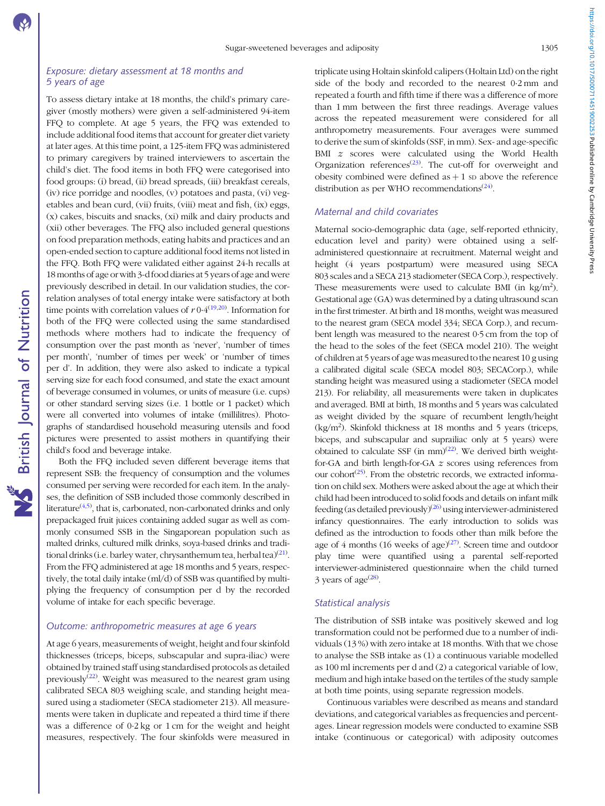#### Exposure: dietary assessment at 18 months and 5 years of age

To assess dietary intake at 18 months, the child's primary caregiver (mostly mothers) were given a self-administered 94-item FFQ to complete. At age 5 years, the FFQ was extended to include additional food items that account for greater diet variety at later ages. At this time point, a 125-item FFQ was administered to primary caregivers by trained interviewers to ascertain the child's diet. The food items in both FFQ were categorised into food groups: (i) bread, (ii) bread spreads, (iii) breakfast cereals, (iv) rice porridge and noodles, (v) potatoes and pasta, (vi) vegetables and bean curd, (vii) fruits, (viii) meat and fish, (ix) eggs, (x) cakes, biscuits and snacks, (xi) milk and dairy products and (xii) other beverages. The FFQ also included general questions on food preparation methods, eating habits and practices and an open-ended section to capture additional food items not listed in the FFQ. Both FFQ were validated either against 24-h recalls at 18 months of age or with 3-dfood diaries at 5 years of age and were previously described in detail. In our validation studies, the correlation analyses of total energy intake were satisfactory at both time points with correlation values of  $r 0.4^{(19,20)}$  $r 0.4^{(19,20)}$  $r 0.4^{(19,20)}$  $r 0.4^{(19,20)}$  $r 0.4^{(19,20)}$ . Information for both of the FFQ were collected using the same standardised methods where mothers had to indicate the frequency of consumption over the past month as 'never', 'number of times per month', 'number of times per week' or 'number of times per d'. In addition, they were also asked to indicate a typical serving size for each food consumed, and state the exact amount of beverage consumed in volumes, or units of measure (i.e. cups) or other standard serving sizes (i.e. 1 bottle or 1 packet) which were all converted into volumes of intake (millilitres). Photographs of standardised household measuring utensils and food pictures were presented to assist mothers in quantifying their child's food and beverage intake.

Both the FFQ included seven different beverage items that represent SSB: the frequency of consumption and the volumes consumed per serving were recorded for each item. In the analyses, the definition of SSB included those commonly described in literature $(4,5)$  $(4,5)$  $(4,5)$ , that is, carbonated, non-carbonated drinks and only prepackaged fruit juices containing added sugar as well as commonly consumed SSB in the Singaporean population such as malted drinks, cultured milk drinks, soya-based drinks and tradi-tional drinks (i.e. barley water, chrysanthemum tea, herbal tea)<sup>([21\)](#page-8-0)</sup>. From the FFQ administered at age 18 months and 5 years, respectively, the total daily intake (ml/d) of SSB was quantified by multiplying the frequency of consumption per d by the recorded volume of intake for each specific beverage.

#### Outcome: anthropometric measures at age 6 years

At age 6 years, measurements of weight, height and four skinfold thicknesses (triceps, biceps, subscapular and supra-iliac) were obtained by trained staff using standardised protocols as detailed previously $(22)$  $(22)$ . Weight was measured to the nearest gram using calibrated SECA 803 weighing scale, and standing height measured using a stadiometer (SECA stadiometer 213). All measurements were taken in duplicate and repeated a third time if there was a difference of 0·2 kg or 1 cm for the weight and height measures, respectively. The four skinfolds were measured in triplicate using Holtain skinfold calipers (Holtain Ltd) on the right side of the body and recorded to the nearest 0·2 mm and repeated a fourth and fifth time if there was a difference of more than 1 mm between the first three readings. Average values across the repeated measurement were considered for all anthropometry measurements. Four averages were summed to derive the sum of skinfolds (SSF, in mm). Sex- and age-specific BMI z scores were calculated using the World Health Organization references<sup> $(23)$  $(23)$  $(23)$ </sup>. The cut-off for overweight and obesity combined were defined as  $+1$  sp above the reference distribution as per WHO recommendations<sup>([24\)](#page-9-0)</sup>.

# Maternal and child covariates

Maternal socio-demographic data (age, self-reported ethnicity, education level and parity) were obtained using a selfadministered questionnaire at recruitment. Maternal weight and height (4 years postpartum) were measured using SECA 803 scales and a SECA 213 stadiometer (SECA Corp.), respectively. These measurements were used to calculate BMI (in  $\text{kg/m}^2$ ). Gestational age (GA) was determined by a dating ultrasound scan in the first trimester. At birth and 18 months, weight was measured to the nearest gram (SECA model 334; SECA Corp.), and recumbent length was measured to the nearest 0·5 cm from the top of the head to the soles of the feet (SECA model 210). The weight of children at 5 years of age was measured to the nearest 10 g using a calibrated digital scale (SECA model 803; SECACorp.), while standing height was measured using a stadiometer (SECA model 213). For reliability, all measurements were taken in duplicates and averaged. BMI at birth, 18 months and 5 years was calculated as weight divided by the square of recumbent length/height (kg/m2 ). Skinfold thickness at 18 months and 5 years (triceps, biceps, and subscapular and suprailiac only at 5 years) were obtained to calculate SSF (in  $mm$ )<sup>([22\)](#page-8-0)</sup>. We derived birth weightfor-GA and birth length-for-GA z scores using references from our cohort<sup> $(25)$ </sup>. From the obstetric records, we extracted information on child sex. Mothers were asked about the age at which their child had been introduced to solid foods and details on infant milk feeding (as detailed previously)<sup>[\(26](#page-9-0))</sup> using interviewer-administered infancy questionnaires. The early introduction to solids was defined as the introduction to foods other than milk before the age of 4 months (16 weeks of age) $(27)$  $(27)$ . Screen time and outdoor play time were quantified using a parental self-reported interviewer-administered questionnaire when the child turned 3 years of age $^{(28)}$  $^{(28)}$  $^{(28)}$ .

#### Statistical analysis

The distribution of SSB intake was positively skewed and log transformation could not be performed due to a number of individuals (13 %) with zero intake at 18 months. With that we chose to analyse the SSB intake as (1) a continuous variable modelled as 100 ml increments per d and (2) a categorical variable of low, medium and high intake based on the tertiles of the study sample at both time points, using separate regression models.

Continuous variables were described as means and standard deviations, and categorical variables as frequencies and percentages. Linear regression models were conducted to examine SSB intake (continuous or categorical) with adiposity outcomes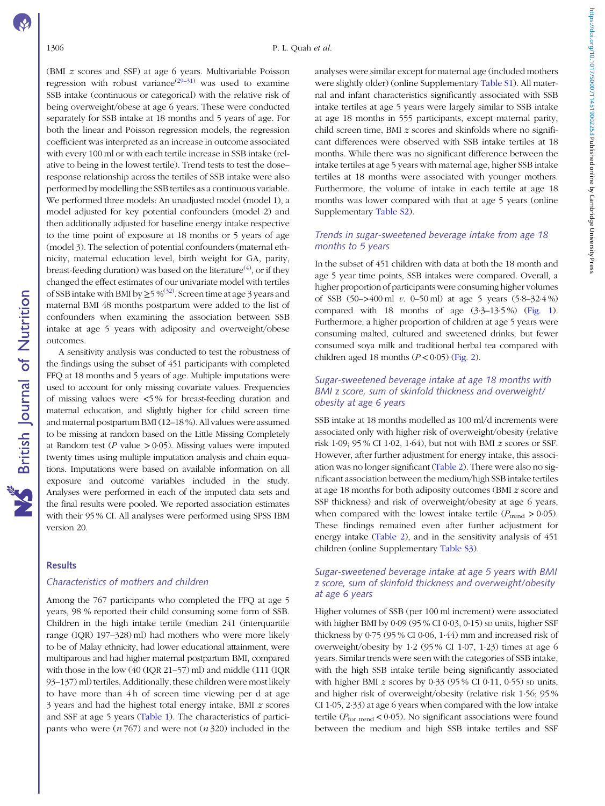(BMI z scores and SSF) at age 6 years. Multivariable Poisson regression with robust variance<sup>[\(29](#page-9-0)–[31](#page-9-0))</sup> was used to examine SSB intake (continuous or categorical) with the relative risk of being overweight/obese at age 6 years. These were conducted separately for SSB intake at 18 months and 5 years of age. For both the linear and Poisson regression models, the regression coefficient was interpreted as an increase in outcome associated with every 100 ml or with each tertile increase in SSB intake (relative to being in the lowest tertile). Trend tests to test the dose– response relationship across the tertiles of SSB intake were also performed by modelling the SSB tertiles as a continuous variable. We performed three models: An unadjusted model (model 1), a model adjusted for key potential confounders (model 2) and then additionally adjusted for baseline energy intake respective to the time point of exposure at 18 months or 5 years of age (model 3). The selection of potential confounders (maternal ethnicity, maternal education level, birth weight for GA, parity, breast-feeding duration) was based on the literature $^{(4)}$  $^{(4)}$  $^{(4)}$ , or if they changed the effect estimates of our univariate model with tertiles of SSB intake with BMI by  $\geq$  5%<sup>[\(32](#page-9-0))</sup>. Screen time at age 3 years and maternal BMI 48 months postpartum were added to the list of confounders when examining the association between SSB intake at age 5 years with adiposity and overweight/obese outcomes.

A sensitivity analysis was conducted to test the robustness of the findings using the subset of 451 participants with completed FFQ at 18 months and 5 years of age. Multiple imputations were used to account for only missing covariate values. Frequencies of missing values were <5 % for breast-feeding duration and maternal education, and slightly higher for child screen time and maternal postpartum BMI (12–18 %). All values were assumed to be missing at random based on the Little Missing Completely at Random test ( $P$  value  $> 0.05$ ). Missing values were imputed twenty times using multiple imputation analysis and chain equations. Imputations were based on available information on all exposure and outcome variables included in the study. Analyses were performed in each of the imputed data sets and the final results were pooled. We reported association estimates with their 95 % CI. All analyses were performed using SPSS IBM version 20.

# Results

# Characteristics of mothers and children

Among the 767 participants who completed the FFQ at age 5 years, 98 % reported their child consuming some form of SSB. Children in the high intake tertile (median 241 (interquartile range (IQR) 197–328) ml) had mothers who were more likely to be of Malay ethnicity, had lower educational attainment, were multiparous and had higher maternal postpartum BMI, compared with those in the low (40 (IQR 21–57) ml) and middle (111 (IQR 93–137) ml) tertiles. Additionally, these children were most likely to have more than 4 h of screen time viewing per d at age 3 years and had the highest total energy intake, BMI z scores and SSF at age 5 years [\(Table 1\)](#page-4-0). The characteristics of participants who were  $(n 767)$  and were not  $(n 320)$  included in the analyses were similar except for maternal age (included mothers were slightly older) (online Supplementary [Table S1](https://doi.org/10.1017/S0007114519002253)). All maternal and infant characteristics significantly associated with SSB intake tertiles at age 5 years were largely similar to SSB intake at age 18 months in 555 participants, except maternal parity, child screen time, BMI z scores and skinfolds where no significant differences were observed with SSB intake tertiles at 18 months. While there was no significant difference between the intake tertiles at age 5 years with maternal age, higher SSB intake tertiles at 18 months were associated with younger mothers. Furthermore, the volume of intake in each tertile at age 18 months was lower compared with that at age 5 years (online Supplementary [Table S2\)](https://doi.org/10.1017/S0007114519002253).

# Trends in sugar-sweetened beverage intake from age 18 months to 5 years

In the subset of 451 children with data at both the 18 month and age 5 year time points, SSB intakes were compared. Overall, a higher proportion of participants were consuming higher volumes of SSB  $(50-3400 \text{ ml } v. 0-50 \text{ ml})$  at age 5 years  $(5.8-32.4 \%)$ compared with 18 months of age  $(3.3-13.5\%)$  [\(Fig. 1](#page-5-0)). Furthermore, a higher proportion of children at age 5 years were consuming malted, cultured and sweetened drinks, but fewer consumed soya milk and traditional herbal tea compared with children aged 18 months  $(P < 0.05)$  ([Fig. 2\)](#page-5-0).

# Sugar-sweetened beverage intake at age 18 months with BMI z score, sum of skinfold thickness and overweight/ obesity at age 6 years

SSB intake at 18 months modelled as 100 ml/d increments were associated only with higher risk of overweight/obesity (relative risk 1·09; 95 % CI 1·02, 1·64), but not with BMI z scores or SSF. However, after further adjustment for energy intake, this association was no longer significant [\(Table 2\)](#page-6-0). There were also no significant association between the medium/high SSB intake tertiles at age 18 months for both adiposity outcomes (BMI z score and SSF thickness) and risk of overweight/obesity at age 6 years, when compared with the lowest intake tertile ( $P_{\text{trend}} > 0.05$ ). These findings remained even after further adjustment for energy intake [\(Table 2\)](#page-6-0), and in the sensitivity analysis of 451 children (online Supplementary [Table S3](https://doi.org/10.1017/S0007114519002253)).

# Sugar-sweetened beverage intake at age 5 years with BMI z score, sum of skinfold thickness and overweight/obesity at age 6 years

Higher volumes of SSB (per 100 ml increment) were associated with higher BMI by 0.09 (95 % CI 0.03, 0.15) so units, higher SSF thickness by 0·75 (95 % CI 0·06, 1·44) mm and increased risk of overweight/obesity by 1·2 (95 % CI 1·07, 1·23) times at age 6 years. Similar trends were seen with the categories of SSB intake, with the high SSB intake tertile being significantly associated with higher BMI  $z$  scores by 0.33 (95% CI 0.11, 0.55) so units, and higher risk of overweight/obesity (relative risk 1·56; 95 % CI 1·05, 2·33) at age 6 years when compared with the low intake tertile ( $P_{\text{for trend}}$  < 0.05). No significant associations were found between the medium and high SSB intake tertiles and SSF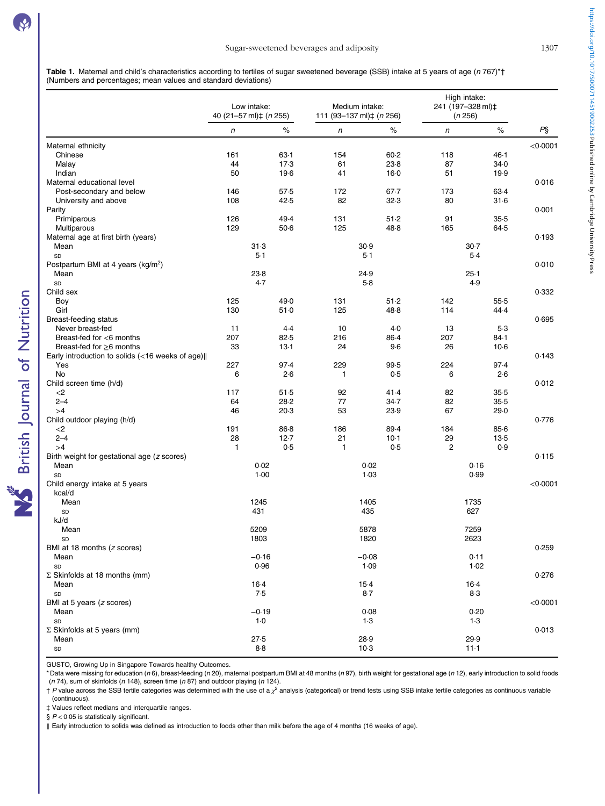<span id="page-4-0"></span>Table 1. Maternal and child's characteristics according to tertiles of sugar sweetened beverage (SSB) intake at 5 years of age (n 767)\*† (Numbers and percentages; mean values and standard deviations)

|                                                 | Low intake:<br>40 (21-57 ml)‡ (n 255) |         | Medium intake:<br>111 (93-137 ml)‡ (n 256) |          | High intake:<br>241 (197-328 ml) <sup>+</sup><br>(n 256) |        |          |
|-------------------------------------------------|---------------------------------------|---------|--------------------------------------------|----------|----------------------------------------------------------|--------|----------|
|                                                 | $\sqrt{n}$                            | $\%$    | $\sqrt{n}$                                 | $\%$     | $\sqrt{n}$                                               | $\%$   | $P\S$    |
| Maternal ethnicity                              |                                       |         |                                            |          |                                                          |        | < 0.0001 |
| Chinese                                         | 161                                   | $63-1$  | 154                                        | $60 - 2$ | 118                                                      | 46.1   |          |
| Malay                                           | 44                                    | 17.3    | 61                                         | 23.8     | 87                                                       | 34.0   |          |
| Indian                                          | 50                                    | $19-6$  | 41                                         | $16-0$   | 51                                                       | 19.9   |          |
| Maternal educational level                      |                                       |         |                                            |          |                                                          |        | 0.016    |
| Post-secondary and below                        | 146                                   | 57.5    | 172                                        | $67 - 7$ | 173                                                      | 63.4   |          |
| University and above                            | 108                                   | 42.5    | 82                                         | 32.3     | 80                                                       | $31-6$ |          |
| Parity                                          |                                       |         |                                            |          |                                                          |        | 0.001    |
| Primiparous                                     | 126                                   | 49.4    | 131                                        | 51.2     | 91                                                       | 35.5   |          |
| Multiparous                                     | 129                                   | $50-6$  | 125                                        | 48.8     | 165                                                      | 64.5   |          |
| Maternal age at first birth (years)             |                                       |         |                                            |          |                                                          |        | 0.193    |
| Mean                                            |                                       | 31.3    |                                            | 30.9     |                                                          | $30-7$ |          |
| SD                                              | 5.1                                   |         | $5-1$                                      |          | $5-4$                                                    |        |          |
| Postpartum BMI at 4 years (kg/m <sup>2</sup> )  |                                       |         |                                            |          |                                                          |        | 0.010    |
| Mean                                            |                                       | 23.8    |                                            | 24.9     | $25-1$                                                   |        |          |
| SD                                              |                                       | 4.7     |                                            | $5-8$    | 4.9                                                      |        |          |
| Child sex                                       |                                       |         |                                            |          |                                                          |        | 0.332    |
| Boy                                             | 125                                   | 49.0    | 131                                        | 51.2     | 142                                                      | $55-5$ |          |
| Girl                                            | 130                                   | 51.0    | 125                                        | 48.8     | 114                                                      | 44.4   |          |
| <b>Breast-feeding status</b>                    |                                       |         |                                            |          |                                                          |        | 0.695    |
| Never breast-fed                                | 11                                    | $4-4$   | 10                                         | $4-0$    | 13                                                       | $5-3$  |          |
| Breast-fed for <6 months                        | 207                                   | 82.5    | 216                                        | 86.4     | 207                                                      | 84.1   |          |
| Breast-fed for $\geq 6$ months                  |                                       |         |                                            |          |                                                          |        |          |
|                                                 | 33                                    | $13-1$  | 24                                         | $9-6$    | 26                                                       | $10-6$ |          |
| Early introduction to solids (<16 weeks of age) |                                       |         |                                            |          |                                                          |        | 0.143    |
| Yes                                             | 227                                   | 97.4    | 229                                        | 99.5     | 224                                                      | 97.4   |          |
| No                                              | 6                                     | 2.6     | 1                                          | 0.5      | 6                                                        | 2.6    |          |
| Child screen time (h/d)                         |                                       |         |                                            |          |                                                          |        | 0.012    |
| $<$ 2                                           | 117                                   | 51.5    | 92                                         | 41.4     | 82                                                       | $35-5$ |          |
| $2 - 4$                                         | 64                                    | 28.2    | 77                                         | 34.7     | 82                                                       | 35.5   |          |
| >4                                              | 46                                    | 20.3    | 53                                         | 23.9     | 67                                                       | 29.0   |          |
| Child outdoor playing (h/d)                     |                                       |         |                                            |          |                                                          |        | 0.776    |
| $<$ 2                                           | 191                                   | 86.8    | 186                                        | 89.4     | 184                                                      | 85.6   |          |
| $2 - 4$                                         | 28                                    | 12.7    | 21                                         | 10.1     | 29                                                       | $13-5$ |          |
| >4                                              | $\mathbf{1}$                          | 0.5     | 1                                          | 0.5      | $\overline{c}$                                           | 0.9    |          |
| Birth weight for gestational age (z scores)     |                                       |         |                                            |          |                                                          |        | 0.115    |
| Mean                                            | 0.02                                  |         | 0.02                                       |          | 0.16                                                     |        |          |
| SD                                              | 1.00                                  |         |                                            | 1.03     |                                                          | 0.99   |          |
| Child energy intake at 5 years                  |                                       |         |                                            |          |                                                          |        | < 0.0001 |
| kcal/d                                          |                                       |         |                                            |          |                                                          |        |          |
| Mean                                            |                                       | 1245    |                                            | 1405     |                                                          | 1735   |          |
| SD                                              |                                       | 431     |                                            | 435      |                                                          | 627    |          |
| kJ/d                                            |                                       |         |                                            |          |                                                          |        |          |
| Mean                                            |                                       | 5209    |                                            | 5878     |                                                          | 7259   |          |
| SD                                              |                                       | 1803    |                                            | 1820     |                                                          | 2623   |          |
| BMI at 18 months (z scores)                     |                                       |         |                                            |          |                                                          |        | 0.259    |
| Mean                                            |                                       | $-0.16$ |                                            | $-0.08$  |                                                          | 0.11   |          |
| SD                                              |                                       | 0.96    |                                            | 1.09     |                                                          | 1.02   |          |
| $\Sigma$ Skinfolds at 18 months (mm)            |                                       |         |                                            |          |                                                          |        | 0.276    |
| Mean                                            |                                       | 16.4    |                                            | $15-4$   |                                                          | 16.4   |          |
| SD                                              |                                       | 7.5     |                                            | $8-7$    |                                                          | $8-3$  |          |
| BMI at 5 years (z scores)                       |                                       |         |                                            |          |                                                          |        | < 0.0001 |
| Mean                                            |                                       | $-0.19$ |                                            | 0.08     |                                                          | 0.20   |          |
| SD                                              |                                       | $1-0$   |                                            | $1-3$    |                                                          | $1-3$  |          |
| $\Sigma$ Skinfolds at 5 years (mm)              |                                       |         |                                            |          |                                                          |        | 0.013    |
| Mean                                            |                                       | 27.5    |                                            | 28.9     |                                                          | 29.9   |          |
| SD                                              |                                       | $8-8$   |                                            | 10.3     |                                                          | $11-1$ |          |
|                                                 |                                       |         |                                            |          |                                                          |        |          |

GUSTO, Growing Up in Singapore Towards healthy Outcomes.

\* Data were missing for education (n 6), breast-feeding (n 20), maternal postpartum BMI at 48 months (n 97), birth weight for gestational age (n 12), early introduction to solid foods ( $n$  74), sum of skinfolds ( $n$  148), screen time ( $n$  87) and outdoor playing ( $n$  124).

 $\dagger$  P value across the SSB tertile categories was determined with the use of a  $\chi^2$  analysis (categorical) or trend tests using SSB intake tertile categories as continuous variable (continuous).

‡ Values reflect medians and interquartile ranges.

 $§$   $P < 0.05$  is statistically significant.

**NS** British Journal of Nutrition

‖ Early introduction to solids was defined as introduction to foods other than milk before the age of 4 months (16 weeks of age).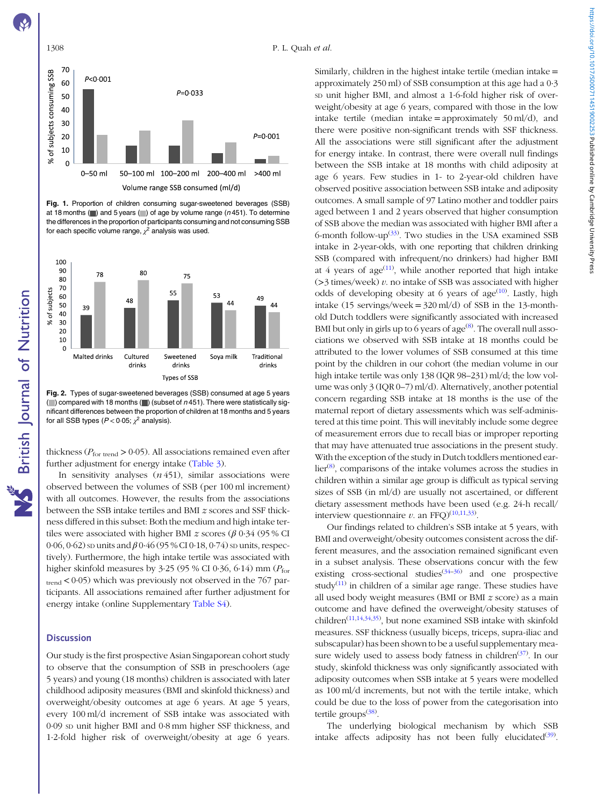#### <span id="page-5-0"></span>1308 P. L. Quah et al.



Fig. 1. Proportion of children consuming sugar-sweetened beverages (SSB) at 18 months  $( )$  and 5 years  $( )$  of age by volume range (n451). To determine the differences in the proportion of participants consuming and not consuming SSB for each specific volume range,  $\chi^2$  analysis was used.



Fig. 2. Types of sugar-sweetened beverages (SSB) consumed at age 5 years ( $\Box$ ) compared with 18 months ( $\Box$ ) (subset of  $n$  451). There were statistically significant differences between the proportion of children at 18 months and 5 years for all SSB types ( $P < 0.05$ ;  $\chi^2$  analysis).

thickness ( $P_{\text{for trend}} > 0.05$ ). All associations remained even after further adjustment for energy intake [\(Table 3\)](#page-6-0).

In sensitivity analyses  $(n 451)$ , similar associations were observed between the volumes of SSB (per 100 ml increment) with all outcomes. However, the results from the associations between the SSB intake tertiles and BMI z scores and SSF thickness differed in this subset: Both the medium and high intake tertiles were associated with higher BMI z scores ( $\beta$  0.34 (95 % CI 0.06, 0.62) sp units and  $\beta$  0.46 (95 % CI 0.18, 0.74) sp units, respectively). Furthermore, the high intake tertile was associated with higher skinfold measures by 3.25 (95 % CI 0.36, 6.14) mm ( $P_{\text{for}}$ trend < 0·05) which was previously not observed in the 767 participants. All associations remained after further adjustment for energy intake (online Supplementary [Table S4\)](https://doi.org/10.1017/S0007114519002253).

# **Discussion**

Our study is the first prospective Asian Singaporean cohort study to observe that the consumption of SSB in preschoolers (age 5 years) and young (18 months) children is associated with later childhood adiposity measures (BMI and skinfold thickness) and overweight/obesity outcomes at age 6 years. At age 5 years, every 100 ml/d increment of SSB intake was associated with 0·09 SD unit higher BMI and 0·8 mm higher SSF thickness, and 1·2-fold higher risk of overweight/obesity at age 6 years. Similarly, children in the highest intake tertile (median intake  $=$ approximately 250 ml) of SSB consumption at this age had a 0·3 sp unit higher BMI, and almost a 1.6-fold higher risk of overweight/obesity at age 6 years, compared with those in the low intake tertile (median intake = approximately  $50 \text{ ml/d}$ ), and there were positive non-significant trends with SSF thickness. All the associations were still significant after the adjustment for energy intake. In contrast, there were overall null findings between the SSB intake at 18 months with child adiposity at age 6 years. Few studies in 1- to 2-year-old children have observed positive association between SSB intake and adiposity outcomes. A small sample of 97 Latino mother and toddler pairs aged between 1 and 2 years observed that higher consumption of SSB above the median was associated with higher BMI after a 6-month follow-up $(33)$  $(33)$ . Two studies in the USA examined SSB intake in 2-year-olds, with one reporting that children drinking SSB (compared with infrequent/no drinkers) had higher BMI at 4 years of age $(11)$ , while another reported that high intake  $(>3$  times/week) v. no intake of SSB was associated with higher odds of developing obesity at 6 years of age<sup>([10](#page-8-0))</sup>. Lastly, high intake (15 servings/week =  $320$  ml/d) of SSB in the 13-monthold Dutch toddlers were significantly associated with increased BMI but only in girls up to 6 years of  $age^{(8)}$  $age^{(8)}$  $age^{(8)}$ . The overall null associations we observed with SSB intake at 18 months could be attributed to the lower volumes of SSB consumed at this time point by the children in our cohort (the median volume in our high intake tertile was only 138 (IQR 98–231) ml/d; the low volume was only 3 (IQR 0–7) ml/d). Alternatively, another potential concern regarding SSB intake at 18 months is the use of the maternal report of dietary assessments which was self-administered at this time point. This will inevitably include some degree of measurement errors due to recall bias or improper reporting that may have attenuated true associations in the present study. With the exception of the study in Dutch toddlers mentioned ear-lier<sup>[\(8](#page-8-0))</sup>, comparisons of the intake volumes across the studies in children within a similar age group is difficult as typical serving sizes of SSB (in ml/d) are usually not ascertained, or different dietary assessment methods have been used (e.g. 24-h recall/ interview questionnaire v. an FFQ) $^{(10,11,33)}$  $^{(10,11,33)}$  $^{(10,11,33)}$  $^{(10,11,33)}$  $^{(10,11,33)}$  $^{(10,11,33)}$  $^{(10,11,33)}$ .

Our findings related to children's SSB intake at 5 years, with BMI and overweight/obesity outcomes consistent across the different measures, and the association remained significant even in a subset analysis. These observations concur with the few existing cross-sectional studies<sup> $(34-36)$  $(34-36)$  $(34-36)$  $(34-36)$ </sup> and one prospective study<sup>([11\)](#page-8-0)</sup> in children of a similar age range. These studies have all used body weight measures (BMI or BMI z score) as a main outcome and have defined the overweight/obesity statuses of children[\(11,14](#page-8-0),[34](#page-9-0),[35](#page-9-0)) , but none examined SSB intake with skinfold measures. SSF thickness (usually biceps, triceps, supra-iliac and subscapular) has been shown to be a useful supplementary mea-sure widely used to assess body fatness in children<sup>([37\)](#page-9-0)</sup>. In our study, skinfold thickness was only significantly associated with adiposity outcomes when SSB intake at 5 years were modelled as 100 ml/d increments, but not with the tertile intake, which could be due to the loss of power from the categorisation into tertile groups<sup>([38\)](#page-9-0)</sup>.

The underlying biological mechanism by which SSB intake affects adiposity has not been fully elucidated $(39)$  $(39)$  $(39)$ .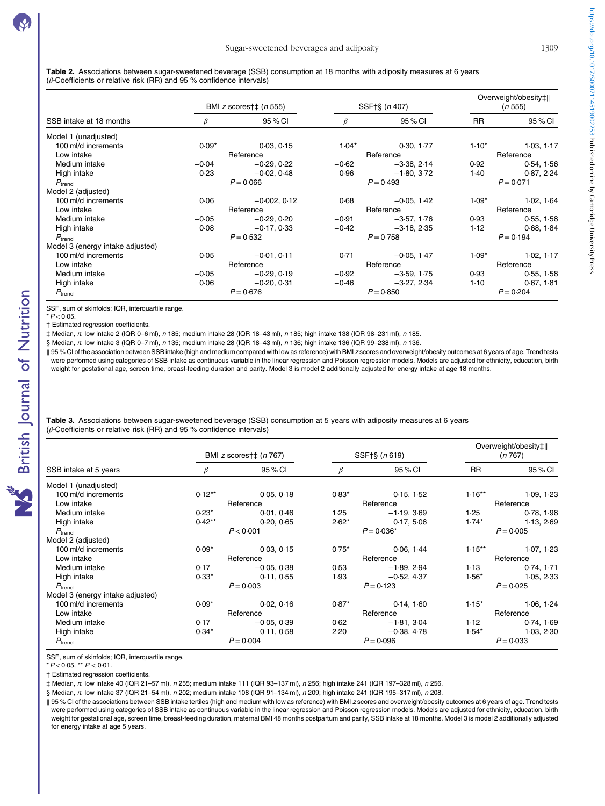<span id="page-6-0"></span>Table 2. Associations between sugar-sweetened beverage (SSB) consumption at 18 months with adiposity measures at 6 years ( $\beta$ -Coefficients or relative risk (RR) and 95 % confidence intervals)

|                                  | BMI z scores†‡ $(n 555)$ |                | SSF†§ (n 407) |               | Overweight/obesity‡  <br>(n 555) |             |
|----------------------------------|--------------------------|----------------|---------------|---------------|----------------------------------|-------------|
| SSB intake at 18 months          |                          | 95 % CI        | $\beta$       | 95 % CI       | <b>RR</b>                        | 95 % CI     |
| Model 1 (unadjusted)             |                          |                |               |               |                                  |             |
| 100 ml/d increments              | $0.09*$                  | 0.03, 0.15     | $1.04*$       | 0.30, 1.77    | $1.10*$                          | 1.03, 1.17  |
| Low intake                       | Reference                |                | Reference     |               | Reference                        |             |
| Medium intake                    | $-0.04$                  | $-0.29.0.22$   | $-0.62$       | $-3.38, 2.14$ | 0.92                             | 0.54, 1.56  |
| High intake                      | 0.23                     | $-0.02, 0.48$  | 0.96          | $-1.80, 3.72$ | 1.40                             | 0.87, 2.24  |
| $P_{\text{trend}}$               | $P = 0.066$              |                | $P = 0.493$   |               | $P = 0.071$                      |             |
| Model 2 (adjusted)               |                          |                |               |               |                                  |             |
| 100 ml/d increments              | 0.06                     | $-0.002, 0.12$ | 0.68          | $-0.05, 1.42$ | $1.09*$                          | 1.02, 1.64  |
| Low intake                       | Reference                |                | Reference     |               | Reference                        |             |
| Medium intake                    | $-0.05$                  | $-0.29, 0.20$  | $-0.91$       | $-3.57, 1.76$ | 0.93                             | 0.55, 1.58  |
| High intake                      | 0.08                     | $-0.17, 0.33$  | $-0.42$       | $-3.18, 2.35$ | 1.12                             | 0.68, 1.84  |
| $P_{\text{trend}}$               | $P = 0.532$              |                | $P = 0.758$   |               | $P = 0.194$                      |             |
| Model 3 (energy intake adjusted) |                          |                |               |               |                                  |             |
| 100 ml/d increments              | 0.05                     | $-0.01, 0.11$  | 0.71          | $-0.05, 1.47$ | $1.09*$                          | 1.02, 1.17  |
| Low intake                       | Reference                |                | Reference     |               | Reference                        |             |
| Medium intake                    | $-0.05$                  | $-0.29, 0.19$  | $-0.92$       | $-3.59, 1.75$ | 0.93                             | 0.55, 1.58  |
| High intake                      | 0.06                     | $-0.20, 0.31$  | $-0.46$       | $-3.27, 2.34$ | 1.10                             | 0.67, 1.81  |
| $P_{\text{trend}}$               |                          | $P = 0.676$    |               | $P = 0.850$   |                                  | $P = 0.204$ |

SSF, sum of skinfolds; IQR, interquartile range.

 $*P < 0.05$ . † Estimated regression coefficients.

‡ Median, n: low intake 2 (IQR 0–6 ml), n 185; medium intake 28 (IQR 18–43 ml), n 185; high intake 138 (IQR 98–231 ml), n 185.

§ Median, n: low intake 3 (IQR 0-7 ml), n 135; medium intake 28 (IQR 18-43 ml), n 136; high intake 136 (IQR 99-238 ml), n 136.

‖ 95 % CI of the association between SSB intake (high and medium compared with low as reference) with BMI z scores and overweight/obesity outcomes at 6 years of age. Trend tests were performed using categories of SSB intake as continuous variable in the linear regression and Poisson regression models. Models are adjusted for ethnicity, education, birth weight for gestational age, screen time, breast-feeding duration and parity. Model 3 is model 2 additionally adjusted for energy intake at age 18 months.

Table 3. Associations between sugar-sweetened beverage (SSB) consumption at 5 years with adiposity measures at 6 years (β-Coefficients or relative risk (RR) and 95 % confidence intervals)

| SSB intake at 5 years            |             | BMI z scores†‡ (n 767) |              | SSF†§ (n 619) |             | Overweight/obesity‡  <br>(n767) |  |
|----------------------------------|-------------|------------------------|--------------|---------------|-------------|---------------------------------|--|
|                                  |             | 95 % CI                | β            | 95 % CI       | <b>RR</b>   | 95 % CI                         |  |
| Model 1 (unadjusted)             |             |                        |              |               |             |                                 |  |
| 100 ml/d increments              | $0.12**$    | 0.05, 0.18             | $0.83*$      | 0.15, 1.52    | $1.16***$   | 1.09, 1.23                      |  |
| Low intake                       | Reference   |                        | Reference    |               | Reference   |                                 |  |
| Medium intake                    | $0.23*$     | 0.01, 0.46             | 1.25         | $-1.19, 3.69$ | 1.25        | 0.78, 1.98                      |  |
| High intake                      | $0.42**$    | 0.20, 0.65             | $2.62*$      | 0.17, 5.06    | $1.74*$     | 1.13, 2.69                      |  |
| $P_{\text{trend}}$               | P < 0.001   |                        | $P = 0.036*$ |               | $P = 0.005$ |                                 |  |
| Model 2 (adjusted)               |             |                        |              |               |             |                                 |  |
| 100 ml/d increments              | $0.09*$     | 0.03, 0.15             | $0.75*$      | 0.06, 1.44    | $1.15***$   | 1.07, 1.23                      |  |
| Low intake                       | Reference   |                        | Reference    |               | Reference   |                                 |  |
| Medium intake                    | 0.17        | $-0.05, 0.38$          | 0.53         | $-1.89, 2.94$ | 1.13        | 0.74, 1.71                      |  |
| High intake                      | $0.33*$     | 0.11, 0.55             | 1.93         | $-0.52, 4.37$ | $1.56*$     | 1.05, 2.33                      |  |
| $P_{\text{trend}}$               | $P = 0.003$ |                        | $P = 0.123$  |               | $P = 0.025$ |                                 |  |
| Model 3 (energy intake adjusted) |             |                        |              |               |             |                                 |  |
| 100 ml/d increments              | $0.09*$     | 0.02, 0.16             | $0.87*$      | 0.14, 1.60    | $1.15*$     | 1.06, 1.24                      |  |
| Low intake                       | Reference   |                        | Reference    |               | Reference   |                                 |  |
| Medium intake                    | 0.17        | $-0.05, 0.39$          | 0.62         | $-1.81, 3.04$ | 1.12        | 0.74, 1.69                      |  |
| High intake                      | $0.34*$     | 0.11, 0.58             | 2.20         | $-0.38, 4.78$ | $1.54*$     | 1.03, 2.30                      |  |
| $P_{\text{trend}}$               |             | $P = 0.004$            |              | $P = 0.096$   |             | $P = 0.033$                     |  |

SSF, sum of skinfolds; IQR, interquartile range. \*P < 0·05, \*\* P < 0·01.

† Estimated regression coefficients.

‡ Median, n: low intake 40 (IQR 21–57 ml), n 255; medium intake 111 (IQR 93–137 ml), n 256; high intake 241 (IQR 197–328 ml), n 256.

§ Median, n: low intake 37 (IQR 21-54 ml), n 202; medium intake 108 (IQR 91-134 ml), n 209; high intake 241 (IQR 195-317 ml), n 208.

‖ 95 % CI of the associations between SSB intake tertiles (high and medium with low as reference) with BMI z scores and overweight/obesity outcomes at 6 years of age. Trend tests were performed using categories of SSB intake as continuous variable in the linear regression and Poisson regression models. Models are adjusted for ethnicity, education, birth weight for gestational age, screen time, breast-feeding duration, maternal BMI 48 months postpartum and parity, SSB intake at 18 months. Model 3 is model 2 additionally adjusted for energy intake at age 5 years.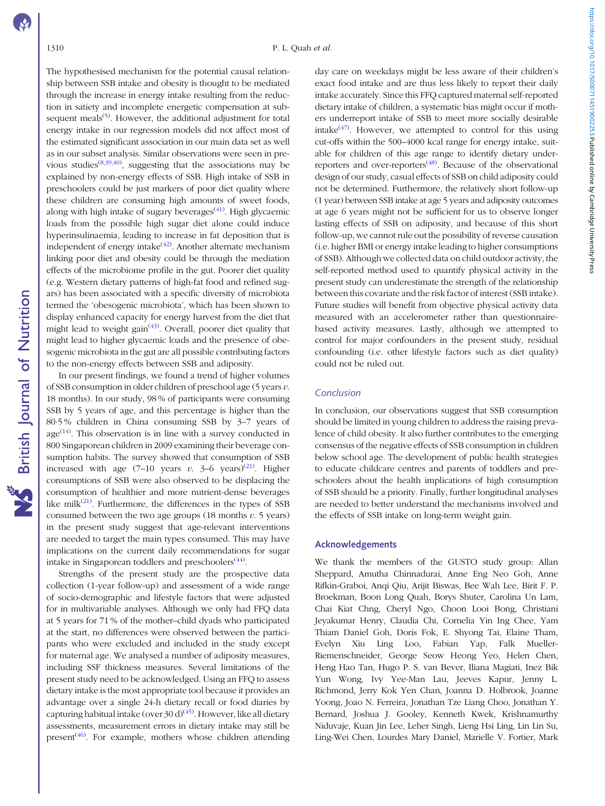The hypothesised mechanism for the potential causal relationship between SSB intake and obesity is thought to be mediated through the increase in energy intake resulting from the reduction in satiety and incomplete energetic compensation at sub-sequent meals<sup>[\(5](#page-8-0))</sup>. However, the additional adjustment for total energy intake in our regression models did not affect most of the estimated significant association in our main data set as well as in our subset analysis. Similar observations were seen in pre-vious studies<sup>([8,](#page-8-0)[39,40\)](#page-9-0)</sup>, suggesting that the associations may be explained by non-energy effects of SSB. High intake of SSB in preschoolers could be just markers of poor diet quality where these children are consuming high amounts of sweet foods, along with high intake of sugary beverages<sup>([41](#page-9-0))</sup>. High glycaemic loads from the possible high sugar diet alone could induce hyperinsulinaemia, leading to increase in fat deposition that is independent of energy intake $(42)$ . Another alternate mechanism linking poor diet and obesity could be through the mediation effects of the microbiome profile in the gut. Poorer diet quality (e.g. Western dietary patterns of high-fat food and refined sugars) has been associated with a specific diversity of microbiota termed the 'obesogenic microbiota', which has been shown to display enhanced capacity for energy harvest from the diet that might lead to weight gain<sup> $(43)$  $(43)$ </sup>. Overall, poorer diet quality that might lead to higher glycaemic loads and the presence of obesogenic microbiota in the gut are all possible contributing factors to the non-energy effects between SSB and adiposity.

In our present findings, we found a trend of higher volumes of SSB consumption in older children of preschool age (5 years  $v$ . 18 months). In our study, 98 % of participants were consuming SSB by 5 years of age, and this percentage is higher than the 80·5 % children in China consuming SSB by 3–7 years of  $age^{(14)}$  $age^{(14)}$  $age^{(14)}$ . This observation is in line with a survey conducted in 800 Singaporean children in 2009 examining their beverage consumption habits. The survey showed that consumption of SSB increased with age  $(7-10 \text{ years } v. 3-6 \text{ years})^{(21)}$  $(7-10 \text{ years } v. 3-6 \text{ years})^{(21)}$  $(7-10 \text{ years } v. 3-6 \text{ years})^{(21)}$ . Higher consumptions of SSB were also observed to be displacing the consumption of healthier and more nutrient-dense beverages like milk<sup>([21](#page-8-0))</sup>. Furthermore, the differences in the types of SSB consumed between the two age groups  $(18 \text{ months } v. 5 \text{ years})$ in the present study suggest that age-relevant interventions are needed to target the main types consumed. This may have implications on the current daily recommendations for sugar intake in Singaporean toddlers and preschoolers<sup>([44\)](#page-9-0)</sup>.

Strengths of the present study are the prospective data collection (1-year follow-up) and assessment of a wide range of socio-demographic and lifestyle factors that were adjusted for in multivariable analyses. Although we only had FFQ data at 5 years for 71 % of the mother–child dyads who participated at the start, no differences were observed between the participants who were excluded and included in the study except for maternal age. We analysed a number of adiposity measures, including SSF thickness measures. Several limitations of the present study need to be acknowledged. Using an FFQ to assess dietary intake is the most appropriate tool because it provides an advantage over a single 24-h dietary recall or food diaries by capturing habitual intake (over 30 d)<sup>[\(45\)](#page-9-0)</sup>. However, like all dietary assessments, measurement errors in dietary intake may still be present<sup>[\(46](#page-9-0))</sup>. For example, mothers whose children attending day care on weekdays might be less aware of their children's exact food intake and are thus less likely to report their daily intake accurately. Since this FFQ captured maternal self-reported dietary intake of children, a systematic bias might occur if mothers underreport intake of SSB to meet more socially desirable intake $(47)$  $(47)$ . However, we attempted to control for this using cut-offs within the 500–4000 kcal range for energy intake, suitable for children of this age range to identify dietary under-reporters and over-reporters<sup>([48](#page-9-0))</sup>. Because of the observational design of our study, casual effects of SSB on child adiposity could not be determined. Furthermore, the relatively short follow-up (1 year) between SSB intake at age 5 years and adiposity outcomes at age 6 years might not be sufficient for us to observe longer lasting effects of SSB on adiposity, and because of this short follow-up, we cannot rule out the possibility of reverse causation (i.e. higher BMI or energy intake leading to higher consumptions of SSB). Although we collected data on child outdoor activity, the self-reported method used to quantify physical activity in the present study can underestimate the strength of the relationship between this covariate and the risk factor of interest (SSB intake). Future studies will benefit from objective physical activity data measured with an accelerometer rather than questionnairebased activity measures. Lastly, although we attempted to control for major confounders in the present study, residual confounding (i.e. other lifestyle factors such as diet quality) could not be ruled out.

#### Conclusion

In conclusion, our observations suggest that SSB consumption should be limited in young children to address the raising prevalence of child obesity. It also further contributes to the emerging consensus of the negative effects of SSB consumption in children below school age. The development of public health strategies to educate childcare centres and parents of toddlers and preschoolers about the health implications of high consumption of SSB should be a priority. Finally, further longitudinal analyses are needed to better understand the mechanisms involved and the effects of SSB intake on long-term weight gain.

#### Acknowledgements

We thank the members of the GUSTO study group: Allan Sheppard, Amutha Chinnadurai, Anne Eng Neo Goh, Anne Rifkin-Graboi, Anqi Qiu, Arijit Biswas, Bee Wah Lee, Birit F. P. Broekman, Boon Long Quah, Borys Shuter, Carolina Un Lam, Chai Kiat Chng, Cheryl Ngo, Choon Looi Bong, Christiani Jeyakumar Henry, Claudia Chi, Cornelia Yin Ing Chee, Yam Thiam Daniel Goh, Doris Fok, E. Shyong Tai, Elaine Tham, Evelyn Xiu Ling Loo, Fabian Yap, Falk Mueller-Riemenschneider, George Seow Heong Yeo, Helen Chen, Heng Hao Tan, Hugo P. S. van Bever, Iliana Magiati, Inez Bik Yun Wong, Ivy Yee-Man Lau, Jeeves Kapur, Jenny L. Richmond, Jerry Kok Yen Chan, Joanna D. Holbrook, Joanne Yoong, Joao N. Ferreira, Jonathan Tze Liang Choo, Jonathan Y. Bernard, Joshua J. Gooley, Kenneth Kwek, Krishnamurthy Niduvaje, Kuan Jin Lee, Leher Singh, Lieng Hsi Ling, Lin Lin Su, Ling-Wei Chen, Lourdes Mary Daniel, Marielle V. Fortier, Mark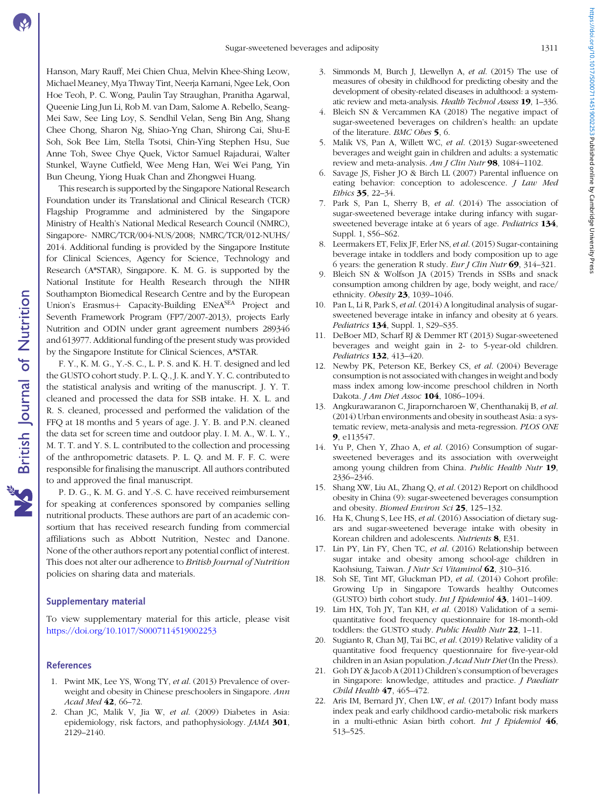<span id="page-8-0"></span>Hanson, Mary Rauff, Mei Chien Chua, Melvin Khee-Shing Leow, Michael Meaney, Mya Thway Tint, Neerja Karnani, Ngee Lek, Oon Hoe Teoh, P. C. Wong, Paulin Tay Straughan, Pranitha Agarwal, Queenie Ling Jun Li, Rob M. van Dam, Salome A. Rebello, Seang-Mei Saw, See Ling Loy, S. Sendhil Velan, Seng Bin Ang, Shang Chee Chong, Sharon Ng, Shiao-Yng Chan, Shirong Cai, Shu-E Soh, Sok Bee Lim, Stella Tsotsi, Chin-Ying Stephen Hsu, Sue Anne Toh, Swee Chye Quek, Victor Samuel Rajadurai, Walter Stunkel, Wayne Cutfield, Wee Meng Han, Wei Wei Pang, Yin Bun Cheung, Yiong Huak Chan and Zhongwei Huang.

This research is supported by the Singapore National Research Foundation under its Translational and Clinical Research (TCR) Flagship Programme and administered by the Singapore Ministry of Health's National Medical Research Council (NMRC), Singapore- NMRC/TCR/004-NUS/2008; NMRC/TCR/012-NUHS/ 2014. Additional funding is provided by the Singapore Institute for Clinical Sciences, Agency for Science, Technology and Research (A\*STAR), Singapore. K. M. G. is supported by the National Institute for Health Research through the NIHR Southampton Biomedical Research Centre and by the European Union's Erasmus+ Capacity-Building ENeA<sup>SEA</sup> Project and Seventh Framework Program (FP7/2007-2013), projects Early Nutrition and ODIN under grant agreement numbers 289346 and 613977. Additional funding of the present study was provided by the Singapore Institute for Clinical Sciences, A\*STAR.

F. Y., K. M. G., Y.-S. C., L. P. S. and K. H. T. designed and led the GUSTO cohort study. P. L. Q., J. K. and Y. Y. C. contributed to the statistical analysis and writing of the manuscript. J. Y. T. cleaned and processed the data for SSB intake. H. X. L. and R. S. cleaned, processed and performed the validation of the FFQ at 18 months and 5 years of age. J. Y. B. and P.N. cleaned the data set for screen time and outdoor play. I. M. A., W. L. Y., M. T. T. and Y. S. L. contributed to the collection and processing of the anthropometric datasets. P. L. Q. and M. F. F. C. were responsible for finalising the manuscript. All authors contributed to and approved the final manuscript.

P. D. G., K. M. G. and Y.-S. C. have received reimbursement for speaking at conferences sponsored by companies selling nutritional products. These authors are part of an academic consortium that has received research funding from commercial affiliations such as Abbott Nutrition, Nestec and Danone. None of the other authors report any potential conflict of interest. This does not alter our adherence to British Journal of Nutrition policies on sharing data and materials.

### Supplementary material

To view supplementary material for this article, please visit <https://doi.org/10.1017/S0007114519002253>

#### References

- 1. Pwint MK, Lee YS, Wong TY, et al. (2013) Prevalence of overweight and obesity in Chinese preschoolers in Singapore. Ann Acad Med 42, 66-72.
- 2. Chan JC, Malik V, Jia W, et al. (2009) Diabetes in Asia: epidemiology, risk factors, and pathophysiology. JAMA 301, 2129–2140.
- 3. Simmonds M, Burch J, Llewellyn A, et al. (2015) The use of measures of obesity in childhood for predicting obesity and the development of obesity-related diseases in adulthood: a systematic review and meta-analysis. Health Technol Assess 19, 1–336.
- 4. Bleich SN & Vercammen KA (2018) The negative impact of sugar-sweetened beverages on children's health: an update of the literature. BMC Obes 5, 6.
- 5. Malik VS, Pan A, Willett WC, et al. (2013) Sugar-sweetened beverages and weight gain in children and adults: a systematic review and meta-analysis. Am J Clin Nutr 98, 1084–1102.
- 6. Savage JS, Fisher JO & Birch LL (2007) Parental influence on eating behavior: conception to adolescence. *J Law Med* Ethics 35, 22–34.
- 7. Park S, Pan L, Sherry B, et al. (2014) The association of sugar-sweetened beverage intake during infancy with sugarsweetened beverage intake at 6 years of age. Pediatrics 134, Suppl. 1, S56–S62.
- 8. Leermakers ET, Felix JF, Erler NS, et al. (2015) Sugar-containing beverage intake in toddlers and body composition up to age 6 years: the generation R study. Eur J Clin Nutr  $69$ , 314–321.
- 9. Bleich SN & Wolfson JA (2015) Trends in SSBs and snack consumption among children by age, body weight, and race/ ethnicity. Obesity **23**, 1039-1046.
- 10. Pan L, Li R, Park S, et al. (2014) A longitudinal analysis of sugarsweetened beverage intake in infancy and obesity at 6 years. Pediatrics 134, Suppl. 1, S29–S35.
- 11. DeBoer MD, Scharf RJ & Demmer RT (2013) Sugar-sweetened beverages and weight gain in 2- to 5-year-old children. Pediatrics **132**, 413-420.
- 12. Newby PK, Peterson KE, Berkey CS, et al. (2004) Beverage consumption is not associated with changes in weight and body mass index among low-income preschool children in North Dakota. *J Am Diet Assoc* **104**, 1086–1094.
- 13. Angkurawaranon C, Jiraporncharoen W, Chenthanakij B, et al. (2014) Urban environments and obesity in southeast Asia: a systematic review, meta-analysis and meta-regression. PLOS ONE 9, e113547.
- 14. Yu P, Chen Y, Zhao A, et al. (2016) Consumption of sugarsweetened beverages and its association with overweight among young children from China. Public Health Nutr 19, 2336–2346.
- 15. Shang XW, Liu AL, Zhang Q, et al. (2012) Report on childhood obesity in China (9): sugar-sweetened beverages consumption and obesity. Biomed Environ Sci 25, 125–132.
- 16. Ha K, Chung S, Lee HS, et al. (2016) Association of dietary sugars and sugar-sweetened beverage intake with obesity in Korean children and adolescents. Nutrients 8, E31.
- 17. Lin PY, Lin FY, Chen TC, et al. (2016) Relationship between sugar intake and obesity among school-age children in Kaohsiung, Taiwan. J Nutr Sci Vitaminol 62, 310–316.
- 18. Soh SE, Tint MT, Gluckman PD, et al. (2014) Cohort profile: Growing Up in Singapore Towards healthy Outcomes (GUSTO) birth cohort study. Int J Epidemiol 43, 1401–1409.
- 19. Lim HX, Toh JY, Tan KH, et al. (2018) Validation of a semiquantitative food frequency questionnaire for 18-month-old toddlers: the GUSTO study. Public Health Nutr 22, 1-11.
- 20. Sugianto R, Chan MJ, Tai BC, et al. (2019) Relative validity of a quantitative food frequency questionnaire for five-year-old children in an Asian population. *J Acad Nutr Diet* (In the Press).
- 21. Goh DY & Jacob A (2011) Children's consumption of beverages in Singapore: knowledge, attitudes and practice. J Paediatr Child Health 47, 465-472.
- 22. Aris IM, Bernard JY, Chen LW, et al. (2017) Infant body mass index peak and early childhood cardio-metabolic risk markers in a multi-ethnic Asian birth cohort. Int J Epidemiol  $46$ , 513–525.